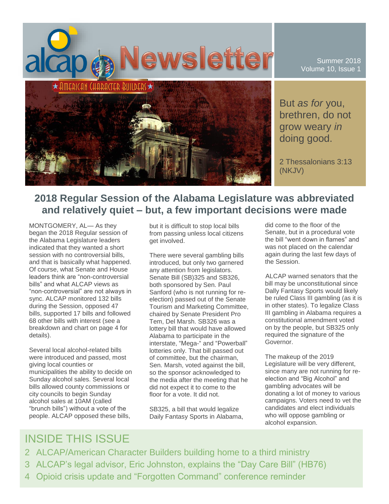

Summer 2018 Volume 10, Issue 1

But *as for* you, brethren, do not grow weary *in* doing good.

2 Thessalonians 3:13 (NKJV)

## **2018 Regular Session of the Alabama Legislature was abbreviated and relatively quiet – but, a few important decisions were made**

MONTGOMERY, AL— As they began the 2018 Regular session of the Alabama Legislature leaders indicated that they wanted a short session with no controversial bills, and that is basically what happened. Of course, what Senate and House leaders think are "non-controversial bills" and what ALCAP views as "non-controversial" are not always in sync. ALCAP monitored 132 bills during the Session, opposed 47 bills, supported 17 bills and followed 68 other bills with interest (see a breakdown and chart on page 4 for details).

Several local alcohol-related bills were introduced and passed, most giving local counties or municipalities the ability to decide on Sunday alcohol sales. Several local bills allowed county commissions or city councils to begin Sunday alcohol sales at 10AM (called "brunch bills") without a vote of the people. ALCAP opposed these bills,

but it is difficult to stop local bills from passing unless local citizens get involved.

There were several gambling bills introduced, but only two garnered any attention from legislators. Senate Bill (SB)325 and SB326, both sponsored by Sen. Paul Sanford (who is not running for reelection) passed out of the Senate Tourism and Marketing Committee, chaired by Senate President Pro Tem, Del Marsh. SB326 was a lottery bill that would have allowed Alabama to participate in the interstate, "Mega-" and "Powerball" lotteries only. That bill passed out of committee, but the chairman, Sen. Marsh, voted against the bill, so the sponsor acknowledged to the media after the meeting that he did not expect it to come to the floor for a vote. It did not.

SB325, a bill that would legalize Daily Fantasy Sports in Alabama,

did come to the floor of the Senate, but in a procedural vote the bill "went down in flames" and was not placed on the calendar again during the last few days of the Session.

ALCAP warned senators that the bill may be unconstitutional since Dally Fantasy Sports would likely be ruled Class III gambling (as it is in other states). To legalize Class III gambling in Alabama requires a constitutional amendment voted on by the people, but SB325 only required the signature of the Governor.

The makeup of the 2019 Legislature will be very different, since many are not running for reelection and "Big Alcohol" and gambling advocates will be donating a lot of money to various campaigns. Voters need to vet the candidates and elect individuals who will oppose gambling or alcohol expansion.

## INSIDE THIS ISSUE

- 2 ALCAP/American Character Builders building home to a third ministry
- 3 ALCAP's legal advisor, Eric Johnston, explains the "Day Care Bill" (HB76)
- 4 Opioid crisis update and "Forgotten Command" conference reminder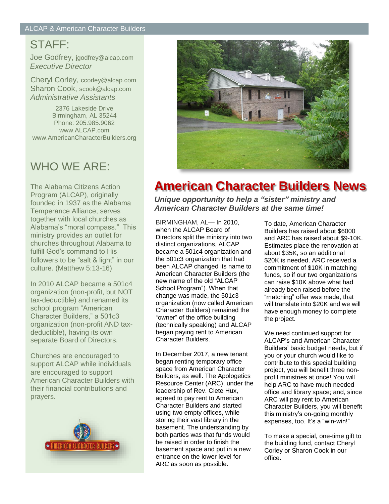# STAFF:

Joe Godfrey, jgodfrey@alcap.com *Executive Director*

Cheryl Corley, ccorley@alcap.com Sharon Cook, scook@alcap.com *Administrative Assistants*

2376 Lakeside Drive Birmingham, AL 35244 Phone: 205.985.9062 www.ALCAP.com www.AmericanCharacterBuilders.org

# WHO WE ARE:

The Alabama Citizens Action Program (ALCAP), originally founded in 1937 as the Alabama Temperance Alliance, serves together with local churches as Alabama's "moral compass." This ministry provides an outlet for churches throughout Alabama to fulfill God's command to His followers to be "salt & light" in our culture. (Matthew 5:13-16)

In 2010 ALCAP became a 501c4 organization (non-profit, but NOT tax-deductible) and renamed its school program "American Character Builders," a 501c3 organization (non-profit AND taxdeductible), having its own separate Board of Directors.

Churches are encouraged to support ALCAP while individuals are encouraged to support American Character Builders with their financial contributions and prayers.





# **American Character Builders News**

*Unique opportunity to help a "sister" ministry and American Character Builders at the same time!*

BIRMINGHAM, AL— In 2010, when the ALCAP Board of Directors split the ministry into two distinct organizations, ALCAP became a 501c4 organization and the 501c3 organization that had been ALCAP changed its name to American Character Builders (the new name of the old "ALCAP School Program"). When that change was made, the 501c3 organization (now called American Character Builders) remained the "owner" of the office building (technically speaking) and ALCAP began paying rent to American Character Builders.

In December 2017, a new tenant began renting temporary office space from American Character Builders, as well. The Apologetics Resource Center (ARC), under the leadership of Rev. Clete Hux, agreed to pay rent to American Character Builders and started using two empty offices, while storing their vast library in the basement. The understanding by both parties was that funds would be raised in order to finish the basement space and put in a new entrance on the lower level for ARC as soon as possible.

To date, American Character Builders has raised about \$6000 and ARC has raised about \$9-10K. Estimates place the renovation at about \$35K, so an additional \$20K is needed. ARC received a commitment of \$10K in matching funds, so if our two organizations can raise \$10K above what had already been raised before the "matching" offer was made, that will translate into \$20K and we will have enough money to complete the project.

We need continued support for ALCAP's and American Character Builders' basic budget needs, but if you or your church would like to contribute to this special building project, you will benefit three nonprofit ministries at once! You will help ARC to have much needed office and library space; and, since ARC will pay rent to American Character Builders, you will benefit this ministry's on-going monthly expenses, too. It's a "win-win!"

To make a special, one-time gift to the building fund, contact Cheryl Corley or Sharon Cook in our office.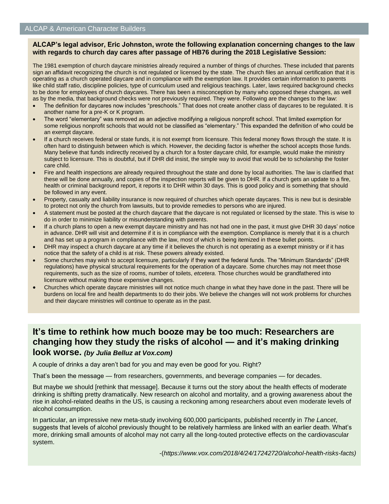#### **ALCAP's legal advisor, Eric Johnston, wrote the following explanation concerning changes to the law with regards to church day cares after passage of HB76 during the 2018 Legislative Session:**

The 1981 exemption of church daycare ministries already required a number of things of churches. These included that parents sign an affidavit recognizing the church is not regulated or licensed by the state. The church files an annual certification that it is operating as a church operated daycare and in compliance with the exemption law. It provides certain information to parents like child staff ratio, discipline policies, type of curriculum used and religious teachings. Later, laws required background checks to be done for employees of church daycares. There has been a misconception by many who opposed these changes, as well as by the media, that background checks were not previously required. They were. Following are the changes to the law:

- The definition for daycares now includes "preschools." That does not create another class of daycares to be regulated. It is another name for a pre-K or K program.
- The word "elementary" was removed as an adjective modifying a religious nonprofit school. That limited exemption for some religious nonprofit schools that would not be classified as "elementary." This expanded the definition of who could be an exempt daycare.
- If a church receives federal or state funds, it is not exempt from licensure. This federal money flows through the state. It is often hard to distinguish between which is which. However, the deciding factor is whether the school accepts those funds. Many believe that funds indirectly received by a church for a foster daycare child, for example, would make the ministry subject to licensure. This is doubtful, but if DHR did insist, the simple way to avoid that would be to scholarship the foster care child.
- Fire and health inspections are already required throughout the state and done by local authorities. The law is clarified that these will be done annually, and copies of the inspection reports will be given to DHR. If a church gets an update to a fire, health or criminal background report, it reports it to DHR within 30 days. This is good policy and is something that should be followed in any event.
- Property, casualty and liability insurance is now required of churches which operate daycares. This is new but is desirable to protect not only the church from lawsuits, but to provide remedies to persons who are injured.
- A statement must be posted at the church daycare that the daycare is not regulated or licensed by the state. This is wise to do in order to minimize liability or misunderstanding with parents.
- If a church plans to open a new exempt daycare ministry and has not had one in the past, it must give DHR 30 days' notice in advance. DHR will visit and determine if it is in compliance with the exemption. Compliance is merely that it is a church and has set up a program in compliance with the law, most of which is being itemized in these bullet points.
- DHR may inspect a church daycare at any time if it believes the church is not operating as a exempt ministry or if it has notice that the safety of a child is at risk. These powers already existed.
- Some churches may wish to accept licensure, particularly if they want the federal funds. The "Minimum Standards" (DHR regulations) have physical structural requirements for the operation of a daycare. Some churches may not meet those requirements, such as the size of rooms, number of toilets, *etcetera.* Those churches would be grandfathered into licensure without making those expensive changes.
- Churches which operate daycare ministries will not notice much change in what they have done in the past. There will be burdens on local fire and health departments to do their jobs. We believe the changes will not work problems for churches and their daycare ministries will continue to operate as in the past.

### **It's time to rethink how much booze may be too much: Researchers are changing how they study the risks of alcohol — and it's making drinking look worse.** *(by Julia Belluz at Vox.com)*

A couple of drinks a day aren't bad for you and may even be good for you. Right?

That's been the message — from researchers, governments, and beverage companies — for decades.

But maybe we should [rethink that message]. Because it turns out the story about the health effects of moderate drinking is shifting pretty dramatically. New research on alcohol and mortality, and a growing awareness about the rise in alcohol-related deaths in the US, is causing a reckoning among researchers about even moderate levels of alcohol consumption.

In particular, an impressive new meta-study involving 600,000 participants, published recently in *The Lancet*, suggests that levels of alcohol previously thought to be relatively harmless are linked with an earlier death. What's more, drinking small amounts of alcohol may not carry all the long-touted protective effects on the cardiovascular system.

-(*https://www.vox.com/2018/4/24/17242720/alcohol-health-risks-facts)*